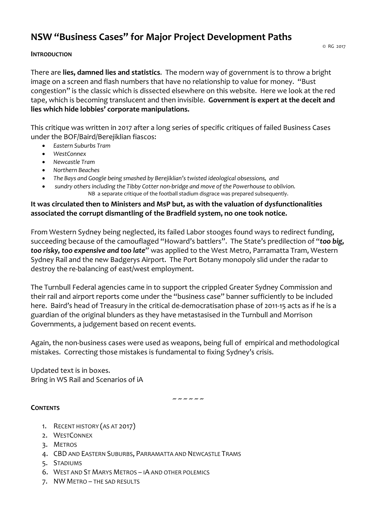# **NSW "Business Cases" for Major Project Development Paths**

## **INTRODUCTION**

There are **lies, damned lies and statistics**. The modern way of government is to throw a bright image on a screen and flash numbers that have no relationship to value for money. "Bust congestion" is the classic which is dissected elsewhere on this website. Here we look at the red tape, which is becoming translucent and then invisible. **Government is expert at the deceit and lies which hide lobbies' corporate manipulations.**

This critique was written in 2017 after a long series of specific critiques of failed Business Cases under the BOF/Baird/Berejiklian fiascos:

- *Eastern Suburbs Tram*
- *WestConnex*
- *Newcastle Tram*
- *Northern Beaches*
- *The Bays and Google being smashed by Berejiklian's twisted ideological obsessions, and*
- *sundry others including the Tibby Cotter non-bridge and move of the Powerhouse to oblivion.* NB a separate critique of the football stadium disgrace was prepared subsequently.

# **It was circulated then to Ministers and MsP but, as with the valuation of dysfunctionalities associated the corrupt dismantling of the Bradfield system, no one took notice.**

From Western Sydney being neglected, its failed Labor stooges found ways to redirect funding, succeeding because of the camouflaged "Howard's battlers". The State's predilection of "*too big, too risky, too expensive and too late*" was applied to the West Metro, Parramatta Tram, Western Sydney Rail and the new Badgerys Airport. The Port Botany monopoly slid under the radar to destroy the re-balancing of east/west employment.

The Turnbull Federal agencies came in to support the crippled Greater Sydney Commission and their rail and airport reports come under the "business case" banner sufficiently to be included here. Baird's head of Treasury in the critical de-democratisation phase of 2011-15 acts as if he is a guardian of the original blunders as they have metastasised in the Turnbull and Morrison Governments, a judgement based on recent events.

Again, the non-business cases were used as weapons, being full of empirical and methodological mistakes. Correcting those mistakes is fundamental to fixing Sydney's crisis.

Updated text is in boxes. Bring in WS Rail and Scenarios of iA

~ ~ ~ ~ ~

## **CONTENTS**

- 1. RECENT HISTORY (AS AT 2017)
- 2. WESTCONNEX
- 3. METROS
- 4. CBD AND EASTERN SUBURBS, PARRAMATTA AND NEWCASTLE TRAMS
- 5. STADIUMS
- 6. WEST AND ST MARYS METROS IA AND OTHER POLEMICS
- 7. NW METRO THE SAD RESULTS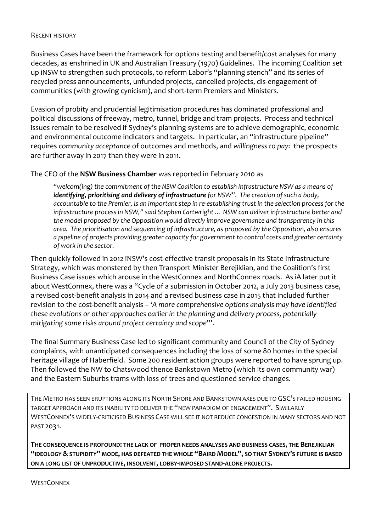## RECENT HISTORY

Business Cases have been the framework for options testing and benefit/cost analyses for many decades, as enshrined in UK and Australian Treasury (1970) Guidelines. The incoming Coalition set up iNSW to strengthen such protocols, to reform Labor's "planning stench" and its series of recycled press announcements, unfunded projects, cancelled projects, dis-engagement of communities (with growing cynicism), and short-term Premiers and Ministers.

Evasion of probity and prudential legitimisation procedures has dominated professional and political discussions of freeway, metro, tunnel, bridge and tram projects. Process and technical issues remain to be resolved if Sydney's planning systems are to achieve demographic, economic and environmental outcome indicators and targets. In particular, an "infrastructure pipeline" requires *community acceptance* of outcomes and methods, and *willingness to pay*: the prospects are further away in 2017 than they were in 2011.

## The CEO of the **NSW Business Chamber** was reported in February 2010 as

"*welcom(ing) the commitment of the NSW Coalition to establish Infrastructure NSW as a means of identifying, prioritising and delivery of infrastructure for NSW"*. *The creation of such a body, accountable to the Premier, is an important step in re-establishing trust in the selection process for the infrastructure process in NSW," said Stephen Cartwright ... NSW can deliver infrastructure better and the model proposed by the Opposition would directly improve governance and transparency in this area. The prioritisation and sequencing of infrastructure, as proposed by the Opposition, also ensures a pipeline of projects providing greater capacity for government to control costs and greater certainty of work in the sector.*

Then quickly followed in 2012 iNSW's cost-effective transit proposals in its State Infrastructure Strategy, which was monstered by then Transport Minister Berejiklian, and the Coalition's first Business Case issues which arouse in the WestConnex and NorthConnex roads. As iA later put it about WestConnex, there was a "Cycle of a submission in October 2012, a July 2013 business case, a revised cost-benefit analysis in 2014 and a revised business case in 2015 that included further revision to the cost-benefit analysis – '*A more comprehensive options analysis may have identified these evolutions or other approaches earlier in the planning and delivery process, potentially mitigating some risks around project certainty and scope*'".

The final Summary Business Case led to significant community and Council of the City of Sydney complaints, with unanticipated consequences including the loss of some 80 homes in the special heritage village of Haberfield. Some 200 resident action groups were reported to have sprung up. Then followed the NW to Chatswood thence Bankstown Metro (which its own community war) and the Eastern Suburbs trams with loss of trees and questioned service changes.

THE METRO HAS SEEN ERUPTIONS ALONG ITS NORTH SHORE AND BANKSTOWN AXES DUE TO GSC'S FAILED HOUSING TARGET APPROACH AND ITS INABILITY TO DELIVER THE "NEW PARADIGM OF ENGAGEMENT". SIMILARLY WESTCONNEX'S WIDELY-CRITICISED BUSINESS CASE WILL SEE IT NOT REDUCE CONGESTION IN MANY SECTORS AND NOT PAST 2031.

**THE CONSEQUENCE IS PROFOUND: THE LACK OF PROPER NEEDS ANALYSES AND BUSINESS CASES, THE BEREJIKLIAN "IDEOLOGY & STUPIDITY" MODE, HAS DEFEATED THE WHOLE "BAIRD MODEL", SO THAT SYDNEY'S FUTURE IS BASED ON A LONG LIST OF UNPRODUCTIVE, INSOLVENT, LOBBY-IMPOSED STAND-ALONE PROJECTS.**

**WESTCONNEX**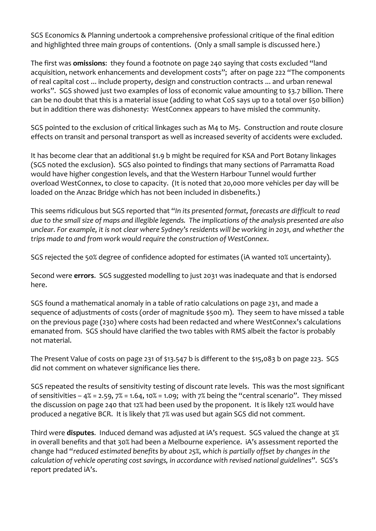SGS Economics & Planning undertook a comprehensive professional critique of the final edition and highlighted three main groups of contentions. (Only a small sample is discussed here.)

The first was **omissions**: they found a footnote on page 240 saying that costs excluded "land acquisition, network enhancements and development costs"; after on page 222 "The components of real capital cost ... include property, design and construction contracts ... and urban renewal works". SGS showed just two examples of loss of economic value amounting to \$3.7 billion. There can be no doubt that this is a material issue (adding to what CoS says up to a total over \$50 billion) but in addition there was dishonesty: WestConnex appears to have misled the community.

SGS pointed to the exclusion of critical linkages such as M4 to M5. Construction and route closure effects on transit and personal transport as well as increased severity of accidents were excluded.

It has become clear that an additional \$1.9 b might be required for KSA and Port Botany linkages (SGS noted the exclusion). SGS also pointed to findings that many sections of Parramatta Road would have higher congestion levels, and that the Western Harbour Tunnel would further overload WestConnex, to close to capacity. (It is noted that 20,000 more vehicles per day will be loaded on the Anzac Bridge which has not been included in disbenefits.)

This seems ridiculous but SGS reported that "*In its presented format, forecasts are difficult to read due to the small size of maps and illegible legends. The implications of the analysis presented are also unclear. For example, it is not clear where Sydney's residents will be working in 2031, and whether the trips made to and from work would require the construction of WestConnex*.

SGS rejected the 50% degree of confidence adopted for estimates (iA wanted 10% uncertainty).

Second were **errors**. SGS suggested modelling to just 2031 was inadequate and that is endorsed here.

SGS found a mathematical anomaly in a table of ratio calculations on page 231, and made a sequence of adjustments of costs (order of magnitude \$500 m). They seem to have missed a table on the previous page (230) where costs had been redacted and where WestConnex's calculations emanated from. SGS should have clarified the two tables with RMS albeit the factor is probably not material.

The Present Value of costs on page 231 of \$13.547 b is different to the \$15,083 b on page 223. SGS did not comment on whatever significance lies there.

SGS repeated the results of sensitivity testing of discount rate levels. This was the most significant of sensitivities –  $4\%$  = 2.59,  $7\%$  = 1.64, 10% = 1.09; with  $7\%$  being the "central scenario". They missed the discussion on page 240 that 12% had been used by the proponent. It is likely 12% would have produced a negative BCR. It is likely that 7% was used but again SGS did not comment.

Third were **disputes**. Induced demand was adjusted at iA's request. SGS valued the change at 3% in overall benefits and that 30% had been a Melbourne experience. iA's assessment reported the change had "*reduced estimated benefits by about 25%, which is partially offset by changes in the calculation of vehicle operating cost savings, in accordance with revised national guidelines*". SGS's report predated iA's.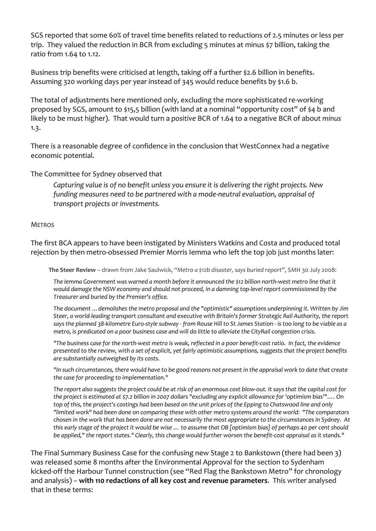SGS reported that some 60% of travel time benefits related to reductions of 2.5 minutes or less per trip. They valued the reduction in BCR from excluding 5 minutes at minus \$7 billion, taking the ratio from 1.64 to 1.12.

Business trip benefits were criticised at length, taking off a further \$2.6 billion in benefits. Assuming 320 working days per year instead of 345 would reduce benefits by \$1.6 b.

The total of adjustments here mentioned only, excluding the more sophisticated re-working proposed by SGS, amount to \$15,5 billion (with land at a nominal "opportunity cost" of \$4 b and likely to be must higher). That would turn a *positive* BCR of 1.64 to a negative BCR of about *minus* 1.3.

There is a reasonable degree of confidence in the conclusion that WestConnex had a negative economic potential.

The Committee for Sydney observed that

*Capturing value is of no benefit unless you ensure it is delivering the right projects. New funding measures need to be partnered with a mode-neutral evaluation, appraisal of transport projects or investments.*

#### **METROS**

The first BCA appears to have been instigated by Ministers Watkins and Costa and produced total rejection by then metro-obsessed Premier Morris Iemma who left the top job just months later:

**The Steer Review** – drawn from Jake Saulwick, "*Metro a \$12b disaster, says buried report*", SMH 30 July 2008:

*The Iemma Government was warned a month before it announced the \$12 billion north-west metro line that it would damage the NSW economy and should not proceed, in a damning top-level report commissioned by the Treasurer and buried by the Premier's office.*

*The document …demolishes the metro proposal and the "optimistic" assumptions underpinning it. Written by Jim Steer, a world-leading transport consultant and executive with Britain's former Strategic Rail Authority, the report says the planned 38-kilometre Euro-style subway - from Rouse Hill to St James Station - is too long to be viable as a metro, is predicated on a poor business case and will do little to alleviate the CityRail congestion crisis.*

*"The business case for the north-west metro is weak, reflected in a poor benefit-cost ratio. In fact, the evidence presented to the review, with a set of explicit, yet fairly optimistic assumptions, suggests that the project benefits are substantially outweighed by its costs.*

*"In such circumstances, there would have to be good reasons not present in the appraisal work to date that create the case for proceeding to implementation."*

*The report also suggests the project could be at risk of an enormous cost blow-out. It says that the capital cost for the project is estimated at \$7.2 billion in 2007 dollars "excluding any explicit allowance for 'optimism bias'"…. On*  top of this, the project's costings had been based on the unit prices of the Epping to Chatswood line and only *"limited work" had been done on comparing these with other metro systems around the world: "The comparators chosen in the work that has been done are not necessarily the most appropriate to the circumstances in Sydney. At this early stage of the project it would be wise … to assume that OB [optimism bias] of perhaps 40 per cent should be applied," the report states." Clearly, this change would further worsen the benefit-cost appraisal as it stands."*

The Final Summary Business Case for the confusing new Stage 2 to Bankstown (there had been 3) was released some 8 months after the Environmental Approval for the section to Sydenham kicked-off the Harbour Tunnel construction (see "Red Flag the Bankstown Metro" for chronology and analysis) – **with 110 redactions of all key cost and revenue parameters**. This writer analysed that in these terms: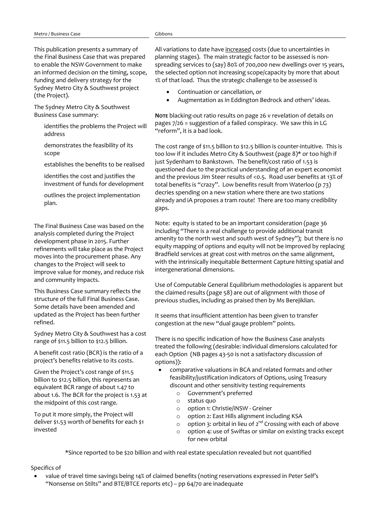This publication presents a summary of the Final Business Case that was prepared to enable the NSW Government to make an informed decision on the timing, scope, funding and delivery strategy for the Sydney Metro City & Southwest project (the Project).

The Sydney Metro City & Southwest Business Case summary:

- identifies the problems the Project will address
- demonstrates the feasibility of its scope
- establishes the benefits to be realised
- identifies the cost and justifies the investment of funds for development
- outlines the project implementation plan.

The Final Business Case was based on the analysis completed during the Project development phase in 2015. Further refinements will take place as the Project moves into the procurement phase. Any changes to the Project will seek to improve value for money, and reduce risk and community impacts.

This Business Case summary reflects the structure of the full Final Business Case. Some details have been amended and updated as the Project has been further refined.

Sydney Metro City & Southwest has a cost range of \$11.5 billion to \$12.5 billion.

A benefit cost ratio (BCR) is the ratio of a project's benefits relative to its costs.

Given the Project's cost range of \$11.5 billion to \$12.5 billion, this represents an equivalent BCR range of about 1.47 to about 1.6. The BCR for the project is 1.53 at the midpoint of this cost range.

To put it more simply, the Project will deliver \$1.53 worth of benefits for each \$1 invested

All variations to date have increased costs (due to uncertainties in planning stages). The main strategic factor to be assessed is nonspreading services to (say) 80% of 700,000 new dwellings over 15 years, the selected option not increasing scope/capacity by more that about 1% of that load. Thus the strategic challenge to be assessed is

- Continuation or cancellation, or
- Augmentation as in Eddington Bedrock and others' ideas.

**NOTE** blacking-out ratio results on page 26 v revelation of details on pages 7/26 = suggestion of a failed conspiracy. We saw this in LG "reform", it is a bad look.

The cost range of \$11.5 billion to \$12.5 billion is counter-intuitive. This is too low if it includes Metro City & Southwest (page 8)\* or too high if just Sydenham to Bankstown. The benefit/cost ratio of 1.53 is questioned due to the practical understanding of an expert economist and the previous Jim Steer results of <0.5. Road user benefits at 13% of total benefits is "crazy". Low benefits result from Waterloo (p 73) decries spending on a new station where there are two stations already and iA proposes a tram route! There are too many credibility gaps.

Note: equity is stated to be an important consideration (page 36 including "There is a real challenge to provide additional transit amenity to the north west and south west of Sydney"); but there is no equity mapping of options and equity will not be improved by replacing Bradfield services at great cost with metros on the same alignment, with the intrinsically inequitable Betterment Capture hitting spatial and intergenerational dimensions.

Use of Computable General Equilibrium methodologies is apparent but the claimed results (page 58) are out of alignment with those of previous studies, including as praised then by Ms Berejiklian.

It seems that insufficient attention has been given to transfer congestion at the new "dual gauge problem" points.

There is no specific indication of how the Business Case analysts treated the following (desirable: individual dimensions calculated for each Option (NB pages 43-50 is not a satisfactory discussion of options)):

- comparative valuations in BCA and related formats and other feasibility/justification indicators of Options, using Treasury discount and other sensitivity testing requirements
	- o Government's preferred
	- o status quo
	- o option 1: Christie/iNSW Greiner
	- o option 2: East Hills alignment including KSA
	- o option 3: orbital in lieu of  $2^{nd}$  Crossing with each of above
	- o option 4: use of Swiftas or similar on existing tracks except for new orbital

\*Since reported to be \$20 billion and with real estate speculation revealed but not quantified

Specifics of

• value of travel time savings being 14% of claimed benefits (noting reservations expressed in Peter Self's "Nonsense on Stilts" and BTE/BTCE reports etc) – pp 64/70 are inadequate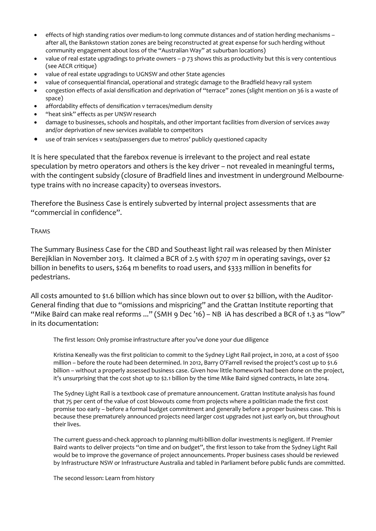- effects of high standing ratios over medium-to long commute distances and of station herding mechanisms after all, the Bankstown station zones are being reconstructed at great expense for such herding without community engagement about loss of the "Australian Way" at suburban locations)
- value of real estate upgradings to private owners p 73 shows this as productivity but this is very contentious (see AECR critique)
- value of real estate upgradings to UGNSW and other State agencies
- value of consequential financial, operational and strategic damage to the Bradfield heavy rail system
- congestion effects of axial densification and deprivation of "terrace" zones (slight mention on 36 is a waste of space)
- affordability effects of densification v terraces/medium density
- "heat sink" effects as per UNSW research
- damage to businesses, schools and hospitals, and other important facilities from diversion of services away and/or deprivation of new services available to competitors
- use of train services v seats/passengers due to metros' publicly questioned capacity

It is here speculated that the farebox revenue is irrelevant to the project and real estate speculation by metro operators and others is the key driver – not revealed in meaningful terms, with the contingent subsidy (closure of Bradfield lines and investment in underground Melbournetype trains with no increase capacity) to overseas investors.

Therefore the Business Case is entirely subverted by internal project assessments that are "commercial in confidence".

## TRAMS

The Summary Business Case for the CBD and Southeast light rail was released by then Minister Berejiklian in November 2013. It claimed a BCR of 2.5 with \$707 m in operating savings, over \$2 billion in benefits to users, \$264 m benefits to road users, and \$333 million in benefits for pedestrians.

All costs amounted to \$1.6 billion which has since blown out to over \$2 billion, with the Auditor-General finding that due to "omissions and mispricing" and the Grattan Institute reporting that "Mike Baird can make real reforms ..." (SMH 9 Dec '16) – NB iA has described a BCR of 1.3 as "low" in its documentation:

The first lesson: Only promise infrastructure after you've done your due diligence

Kristina Keneally was the first politician to commit to the Sydney Light Rail project, in 2010, at a cost of \$500 million – before the route had been determined. In 2012, Barry O'Farrell revised the project's cost up to \$1.6 billion – without a properly assessed business case. Given how little homework had been done on the project, it's unsurprising that the cost shot up to \$2.1 billion by the time Mike Baird signed contracts, in late 2014.

The Sydney Light Rail is a textbook case of premature announcement. Grattan Institute analysis has found that 75 per cent of the value of cost blowouts come from projects where a politician made the first cost promise too early – before a formal budget commitment and generally before a proper business case. This is because these prematurely announced projects need larger cost upgrades not just early on, but throughout their lives.

The current guess-and-check approach to planning multi-billion dollar investments is negligent. If Premier Baird wants to deliver projects "on time and on budget", the first lesson to take from the Sydney Light Rail would be to improve the governance of project announcements. Proper business cases should be reviewed by Infrastructure NSW or Infrastructure Australia and tabled in Parliament before public funds are committed.

The second lesson: Learn from history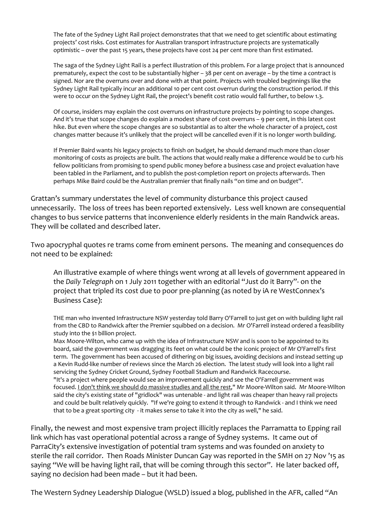The fate of the Sydney Light Rail project demonstrates that that we need to get scientific about estimating projects' cost risks. Cost estimates for Australian transport infrastructure projects are systematically optimistic – over the past 15 years, these projects have cost 24 per cent more than first estimated.

The saga of the Sydney Light Rail is a perfect illustration of this problem. For a large project that is announced prematurely, expect the cost to be substantially higher – 38 per cent on average – by the time a contract is signed. Nor are the overruns over and done with at that point. Projects with troubled beginnings like the Sydney Light Rail typically incur an additional 10 per cent cost overrun during the construction period. If this were to occur on the Sydney Light Rail, the project's benefit cost ratio would fall further, to below 1.3.

Of course, insiders may explain the cost overruns on infrastructure projects by pointing to scope changes. And it's true that scope changes do explain a modest share of cost overruns – 9 per cent, in this latest cost hike. But even where the scope changes are so substantial as to alter the whole character of a project, cost changes matter because it's unlikely that the project will be cancelled even if it is no longer worth building.

If Premier Baird wants his legacy projects to finish on budget, he should demand much more than closer monitoring of costs as projects are built. The actions that would really make a difference would be to curb his fellow politicians from promising to spend public money before a business case and project evaluation have been tabled in the Parliament, and to publish the post-completion report on projects afterwards. Then perhaps Mike Baird could be the Australian premier that finally nails "on time and on budget".

Grattan's summary understates the level of community disturbance this project caused unnecessarily. The loss of trees has been reported extensively. Less well known are consequential changes to bus service patterns that inconvenience elderly residents in the main Randwick areas. They will be collated and described later.

Two apocryphal quotes re trams come from eminent persons. The meaning and consequences do not need to be explained:

An illustrative example of where things went wrong at all levels of government appeared in the *Daily Telegraph* on 1 July 2011 together with an editorial "Just do it Barry"- on the project that tripled its cost due to poor pre-planning (as noted by iA re WestConnex's Business Case):

THE man who invented Infrastructure NSW yesterday told Barry O'Farrell to just get on with building light rail from the CBD to Randwick after the Premier squibbed on a decision. Mr O'Farrell instead ordered a feasibility study into the \$1 billion project.

Max Moore-Wilton, who came up with the idea of Infrastructure NSW and is soon to be appointed to its board, said the government was dragging its feet on what could be the iconic project of Mr O'Farrell's first term. The government has been accused of dithering on big issues, avoiding decisions and instead setting up a Kevin Rudd-like number of reviews since the March 26 election. The latest study will look into a light rail servicing the Sydney Cricket Ground, Sydney Football Stadium and Randwick Racecourse. "It's a project where people would see an improvement quickly and see the O'Farrell government was focused. I don't think we should do massive studies and all the rest," Mr Moore-Wilton said. Mr Moore-Wilton said the city's existing state of "gridlock" was untenable - and light rail was cheaper than heavy rail projects and could be built relatively quickly. "If we're going to extend it through to Randwick - and I think we need that to be a great sporting city - it makes sense to take it into the city as well," he said.

Finally, the newest and most expensive tram project illicitly replaces the Parramatta to Epping rail link which has vast operational potential across a range of Sydney systems. It came out of ParraCity's extensive investigation of potential tram systems and was founded on anxiety to sterile the rail corridor. Then Roads Minister Duncan Gay was reported in the SMH on 27 Nov '15 as saying "We will be having light rail, that will be coming through this sector". He later backed off, saying no decision had been made – but it had been.

The Western Sydney Leadership Dialogue (WSLD) issued a blog, published in the AFR, called "An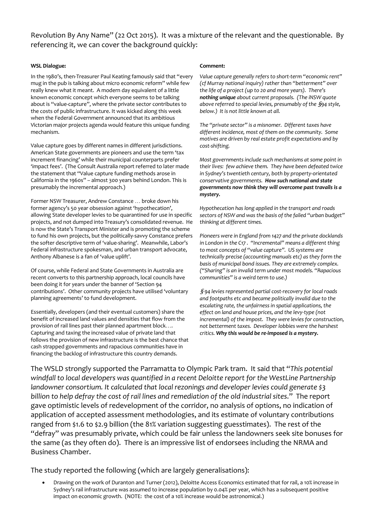Revolution By Any Name" (22 Oct 2015). It was a mixture of the relevant and the questionable. By referencing it, we can cover the background quickly:

#### **WSL Dialogue:**

In the 1980's, then-Treasurer Paul Keating famously said that "every mug in the pub is talking about micro economic reform" while few really knew what it meant. A modern day equivalent of a little known economic concept which everyone seems to be talking about is "value-capture", where the private sector contributes to the costs of public infrastructure. It was kicked along this week when the Federal Government announced that its ambitious Victorian major projects agenda would feature this unique funding mechanism.

Value capture goes by different names in different jurisdictions. American State governments are pioneers and use the term 'tax increment financing' while their municipal counterparts prefer 'impact fees'. (The Consult Australia report referred to later made the statement that "Value capture funding methods arose in California in the 1960s" – almost 300 years behind London. This is presumably the incremental approach.)

Former NSW Treasurer, Andrew Constance … broke down his former agency's 50 year obsession against 'hypothecation', allowing State developer levies to be quarantined for use in specific projects, and not dumped into Treasury's consolidated revenue. He is now the State's Transport Minister and is promoting the scheme to fund his own projects, but the politically-savvy Constance prefers the softer descriptive term of 'value-sharing'. Meanwhile, Labor's Federal infrastructure spokesman, and urban transport advocate, Anthony Albanese is a fan of 'value uplift'.

Of course, while Federal and State Governments in Australia are recent converts to this partnership approach, local councils have been doing it for years under the banner of 'Section 94 contributions'. Other community projects have utilised 'voluntary planning agreements' to fund development.

Essentially, developers (and their eventual customers) share the benefit of increased land values and densities that flow from the provision of rail lines past their planned apartment block…. Capturing and taxing the increased value of private land that follows the provision of new infrastructure is the best chance that cash strapped governments and rapacious communities have in financing the backlog of infrastructure this country demands.

#### **Comment:**

*Value capture generally refers to short-term "economic rent" (cf Murray national inquiry) rather than "betterment" over the life of a project (up to 20 and more years). There's nothing unique about current proposals. (The iNSW quote above referred to special levies, presumably of the* §*94 style, below.) It is not little known at all.*

*The "private sector" is a misnomer. Different taxes have different incidence, most of them on the community. Some motives are driven by real estate profit expectations and by cost-shifting.*

*Most governments include such mechanisms at some point in their lives: few achieve them. They have been defeated twice in Sydney's twentieth century, both by property-orientated conservative governments. How such national and state governments now think they will overcome past travails is a mystery.*

*Hypothecation has long applied in the transport and roads sectors of NSW and was the basis of the failed "urban budget" thinking at different times.*

*Pioneers were in England from 1427 and the private docklands in London in the C17 . "Incremental" means a different thing to most concepts of "value capture". US systems are technically precise (accounting manuals etc) as they form the basis of municipal bond issues. They are extremely complex. ("Sharing" is an invalid term under most models. "Rapacious communities" is a weird term to use.)*

§ *94 levies represented partial cost-recovery for local roads and footpaths etc and became politically invalid due to the escalating rate, the unfairness in spatial applications, the effect on land and house prices, and the levy-type (not incremental) of the impost. They were levies for construction, not betterment taxes. Developer lobbies were the harshest critics. Why this would be re-imposed is a mystery.*

The WSLD strongly supported the Parramatta to Olympic Park tram. It said that "*This potential windfall to local developers was quantified in a recent Deloitte report for the WestLine Partnership landowner consortium. It calculated that local rezonings and developer levies could generate \$3 billion to help defray the cost of rail lines and remediation of the old industrial sites*." The report gave optimistic levels of redevelopment of the corridor, no analysis of options, no indication of application of accepted assessment methodologies, and its estimate of voluntary contributions ranged from \$1.6 to \$2.9 billion (the 81% variation suggesting guesstimates). The rest of the "defray" was presumably private, which could be fair unless the landowners seek site bonuses for the same (as they often do). There is an impressive list of endorsees including the NRMA and Business Chamber.

The study reported the following (which are largely generalisations):

• Drawing on the work of Duranton and Turner (2012), Deloitte Access Economics estimated that for rail, a 10% increase in Sydney's rail infrastructure was assumed to increase population by 0.04% per year, which has a subsequent positive impact on economic growth. (NOTE: the cost of a 10% increase would be astronomical.)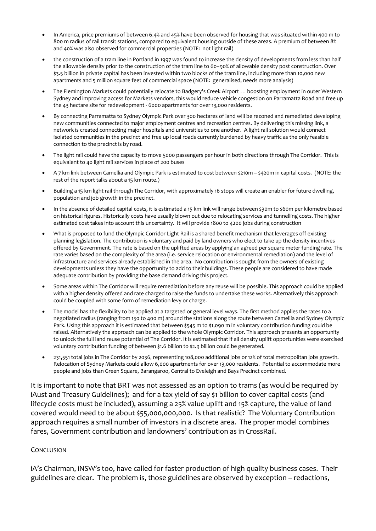- In America, price premiums of between 6.4% and 45% have been observed for housing that was situated within 400 m to 800 m radius of rail transit stations, compared to equivalent housing outside of these areas. A premium of between 8% and 40% was also observed for commercial properties (NOTE: not light rail)
- the construction of a tram line in Portland in 1997 was found to increase the density of developments from less than half the allowable density prior to the construction of the tram line to 60–90% of allowable density post construction. Over \$3.5 billion in private capital has been invested within two blocks of the tram line, including more than 10,000 new apartments and 5 million square feet of commercial space (NOTE: generalised, needs more analysis)
- The Flemington Markets could potentially relocate to Badgery's Creek Airport … boosting employment in outer Western Sydney and improving access for Markets vendors, this would reduce vehicle congestion on Parramatta Road and free up the 43 hectare site for redevelopment - 6000 apartments for over 13,000 residents.
- By connecting Parramatta to Sydney Olympic Park over 300 hectares of land will be rezoned and remediated developing new communities connected to major employment centres and recreation centres. By delivering this missing link, a network is created connecting major hospitals and universities to one another. A light rail solution would connect isolated communities in the precinct and free up local roads currently burdened by heavy traffic as the only feasible connection to the precinct is by road.
- The light rail could have the capacity to move 5000 passengers per hour in both directions through The Corridor. This is equivalent to 40 light rail services in place of 200 buses
- A 7 km link between Camellia and Olympic Park is estimated to cost between \$210m \$420m in capital costs. (NOTE: the rest of the report talks about a 15 km route.)
- Building a 15 km light rail through The Corridor, with approximately 16 stops will create an enabler for future dwelling, population and job growth in the precinct.
- In the absence of detailed capital costs, it is estimated a 15 km link will range between \$30m to \$60m per kilometre based on historical figures. Historically costs have usually blown out due to relocating services and tunnelling costs. The higher estimated cost takes into account this uncertainty. It will provide 1800 to 4200 jobs during construction
- What is proposed to fund the Olympic Corridor Light Rail is a shared benefit mechanism that leverages off existing planning legislation. The contribution is voluntary and paid by land owners who elect to take up the density incentives offered by Government. The rate is based on the uplifted areas by applying an agreed per square meter funding rate. The rate varies based on the complexity of the area (i.e. service relocation or environmental remediation) and the level of infrastructure and services already established in the area. No contribution is sought from the owners of existing developments unless they have the opportunity to add to their buildings. These people are considered to have made adequate contribution by providing the base demand driving this project.
- Some areas within The Corridor will require remediation before any reuse will be possible. This approach could be applied with a higher density offered and rate charged to raise the funds to undertake these works. Alternatively this approach could be coupled with some form of remediation levy or charge.
- The model has the flexibility to be applied at a targeted or general level ways. The first method applies the rates to a negotiated radius (ranging from 150 to 400 m) around the stations along the route between Camellia and Sydney Olympic Park. Using this approach it is estimated that between \$545 m to \$1,090 m in voluntary contribution funding could be raised. Alternatively the approach can be applied to the whole Olympic Corridor. This approach presents an opportunity to unlock the full land reuse potential of The Corridor. It is estimated that if all density uplift opportunities were exercised voluntary contribution funding of between \$1.6 billion to \$2.9 billion could be generated.
- 231,551 total jobs in The Corridor by 2036, representing 108,000 additional jobs or 12% of total metropolitan jobs growth. Relocation of Sydney Markets could allow 6,000 apartments for over 13,000 residents. Potential to accommodate more people and jobs than Green Square, Barangaroo, Central to Eveleigh and Bays Precinct combined.

It is important to note that BRT was not assessed as an option to trams (as would be required by iAust and Treasury Guidelines); and for a tax yield of say \$1 billion to cover capital costs (and lifecycle costs must be included), assuming a 25% value uplift and 15% capture, the value of land covered would need to be about \$55,000,000,000. Is that realistic? The Voluntary Contribution approach requires a small number of investors in a discrete area. The proper model combines fares, Government contribution and landowners' contribution as in CrossRail.

#### **CONCLUSION**

iA's Chairman, iNSW's too, have called for faster production of high quality business cases. Their guidelines are clear. The problem is, those guidelines are observed by exception – redactions,